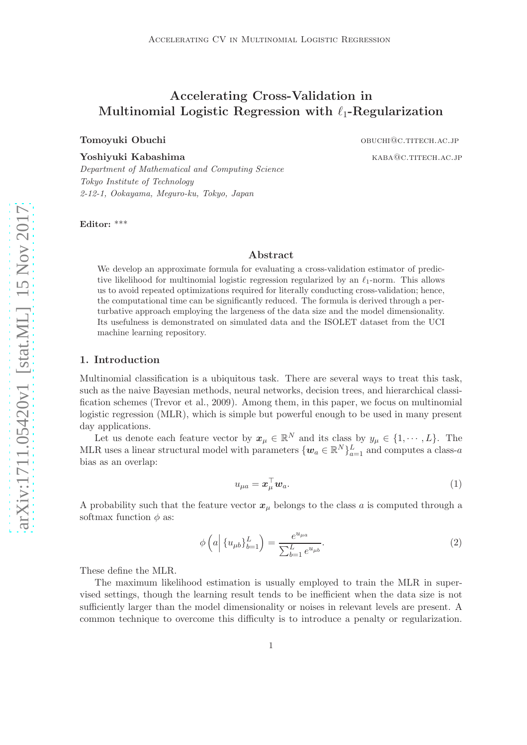# Accelerating Cross-Validation in Multinomial Logistic Regression with  $\ell_1$ -Regularization

Tomoyuki Obuchi obuchi obuchi obuchi obuchi obuchi obuchi obuchi obuchi obuchi obuchi obuchi obuchi obuchi obuchi obuchi obuchi obuchi obuchi obuchi obuchi obuchi obuchi obuchi obuchi obuchi obuchi obuchi obuchi obuchi obu

 $\bf{Yoshiyuki\ Kabashima}$  kabashima

*Department of Mathematical and Computing Science Tokyo Institute of Technology 2-12-1, Ookayama, Meguro-ku, Tokyo, Japan*

Editor: \*\*\*

# Abstract

We develop an approximate formula for evaluating a cross-validation estimator of predictive likelihood for multinomial logistic regression regularized by an  $\ell_1$ -norm. This allows us to avoid repeated optimizations required for literally conducting cross-validation; hence, the computational time can be significantly reduced. The formula is derived through a perturbative approach employing the largeness of the data size and the model dimensionality. Its usefulness is demonstrated on simulated data and the ISOLET dataset from the UCI machine learning repository.

### 1. Introduction

Multinomial classification is a ubiquitous task. There are several ways to treat this task, such as the naive Bayesian methods, neural networks, decision trees, and hierarchical classification schemes [\(Trevor et al., 2009\)](#page-18-0). Among them, in this paper, we focus on multinomial logistic regression (MLR), which is simple but powerful enough to be used in many present day applications.

Let us denote each feature vector by  $x_{\mu} \in \mathbb{R}^{N}$  and its class by  $y_{\mu} \in \{1, \dots, L\}$ . The MLR uses a linear structural model with parameters  $\{w_a \in \mathbb{R}^N\}_{a=1}^L$  and computes a class-a bias as an overlap:

<span id="page-0-0"></span>
$$
u_{\mu a} = \boldsymbol{x}_{\mu}^{\top} \boldsymbol{w}_a. \tag{1}
$$

A probability such that the feature vector  $x_{\mu}$  belongs to the class a is computed through a softmax function  $\phi$  as:

$$
\phi\left(a \Big| \{u_{\mu b}\}_{b=1}^{L}\right) = \frac{e^{u_{\mu a}}}{\sum_{b=1}^{L} e^{u_{\mu b}}}.
$$
\n(2)

These define the MLR.

The maximum likelihood estimation is usually employed to train the MLR in supervised settings, though the learning result tends to be inefficient when the data size is not sufficiently larger than the model dimensionality or noises in relevant levels are present. A common technique to overcome this difficulty is to introduce a penalty or regularization.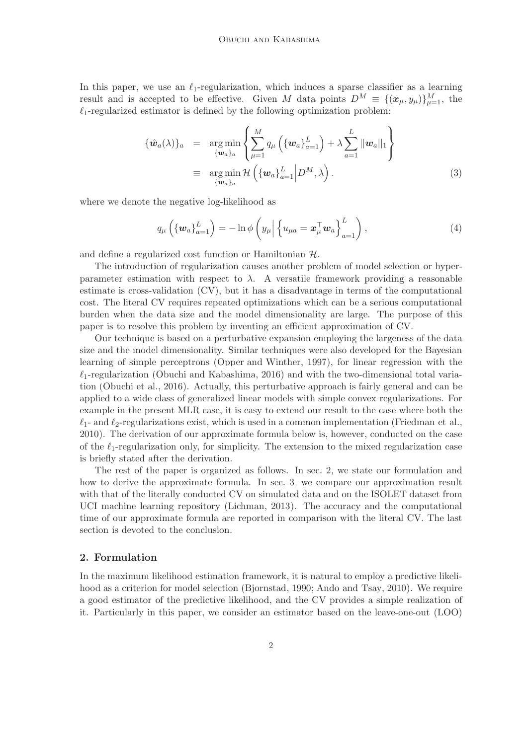In this paper, we use an  $\ell_1$ -regularization, which induces a sparse classifier as a learning result and is accepted to be effective. Given M data points  $D^M = \{(\boldsymbol{x}_{\mu}, y_{\mu})\}_{\mu=1}^M$ , the  $\ell_1$ -regularized estimator is defined by the following optimization problem:

<span id="page-1-1"></span>
$$
\{\hat{\boldsymbol{w}}_a(\lambda)\}_a = \underset{\{\boldsymbol{w}_a\}_a}{\arg\min} \left\{ \sum_{\mu=1}^M q_\mu \left( \{\boldsymbol{w}_a\}_{a=1}^L \right) + \lambda \sum_{a=1}^L ||\boldsymbol{w}_a||_1 \right\}
$$
  

$$
\equiv \underset{\{\boldsymbol{w}_a\}_a}{\arg\min} \mathcal{H} \left( \{\boldsymbol{w}_a\}_{a=1}^L \middle| D^M, \lambda \right). \tag{3}
$$

where we denote the negative log-likelihood as

$$
q_{\mu}\left(\left\{\boldsymbol{w}_{a}\right\}_{a=1}^{L}\right)=-\ln\phi\left(y_{\mu}\middle|\left\{u_{\mu a}=\boldsymbol{x}_{\mu}^{\top}\boldsymbol{w}_{a}\right\}_{a=1}^{L}\right),\tag{4}
$$

and define a regularized cost function or Hamiltonian H.

The introduction of regularization causes another problem of model selection or hyperparameter estimation with respect to  $\lambda$ . A versatile framework providing a reasonable estimate is cross-validation (CV), but it has a disadvantage in terms of the computational cost. The literal CV requires repeated optimizations which can be a serious computational burden when the data size and the model dimensionality are large. The purpose of this paper is to resolve this problem by inventing an efficient approximation of CV.

Our technique is based on a perturbative expansion employing the largeness of the data size and the model dimensionality. Similar techniques were also developed for the Bayesian learning of simple perceptrons [\(Opper and Winther](#page-18-1), [1997\)](#page-18-1), for linear regression with the  $\ell_1$ -regularization [\(Obuchi and Kabashima, 2016\)](#page-18-2) and with the two-dimensional total variation [\(Obuchi et al.](#page-18-3), [2016](#page-18-3)). Actually, this perturbative approach is fairly general and can be applied to a wide class of generalized linear models with simple convex regularizations. For example in the present MLR case, it is easy to extend our result to the case where both the  $\ell_1$ - and  $\ell_2$ -regularizations exist, which is used in a common implementation [\(Friedman et al.](#page-18-4), [2010\)](#page-18-4). The derivation of our approximate formula below is, however, conducted on the case of the  $\ell_1$ -regularization only, for simplicity. The extension to the mixed regularization case is briefly stated after the derivation.

The rest of the paper is organized as follows. In sec. [2,](#page-1-0) we state our formulation and how to derive the approximate formula. In sec. [3,](#page-8-0) we compare our approximation result with that of the literally conducted CV on simulated data and on the ISOLET dataset from UCI machine learning repository [\(Lichman](#page-18-5), [2013\)](#page-18-5). The accuracy and the computational time of our approximate formula are reported in comparison with the literal CV. The last section is devoted to the conclusion.

# <span id="page-1-0"></span>2. Formulation

In the maximum likelihood estimation framework, it is natural to employ a predictive likelihood as a criterion for model selection [\(Bjornstad](#page-18-6), [1990](#page-18-6); [Ando and Tsay](#page-18-7), [2010\)](#page-18-7). We require a good estimator of the predictive likelihood, and the CV provides a simple realization of it. Particularly in this paper, we consider an estimator based on the leave-one-out (LOO)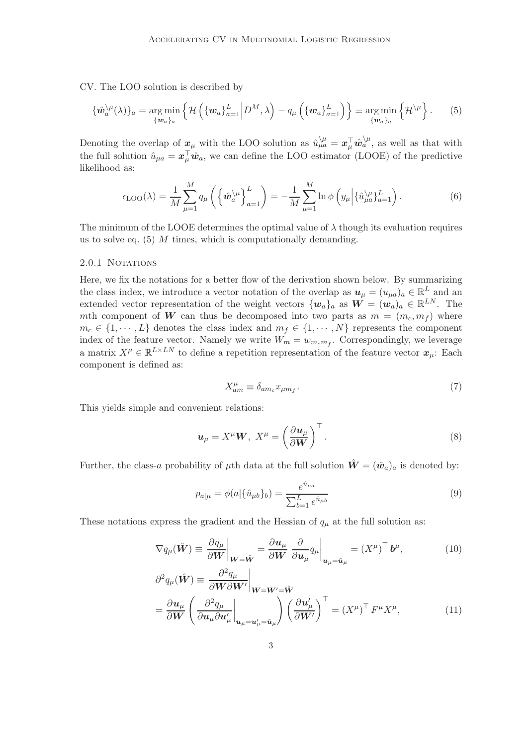CV. The LOO solution is described by

<span id="page-2-0"></span>
$$
\{\hat{\boldsymbol{w}}_a^{\setminus\mu}(\lambda)\}_a = \underset{\{\boldsymbol{w}_a\}_a}{\arg\min} \left\{\mathcal{H}\left(\{\boldsymbol{w}_a\}_{a=1}^L \middle| D^M, \lambda\right) - q_\mu\left(\{\boldsymbol{w}_a\}_{a=1}^L\right)\right\} \equiv \underset{\{\boldsymbol{w}_a\}_a}{\arg\min} \left\{\mathcal{H}^{\setminus\mu}\right\}.
$$
 (5)

Denoting the overlap of  $x_\mu$  with the LOO solution as  $\hat{u}^{\setminus\mu}_{\mu a} = x_\mu^{\top} \hat{w}^{\setminus\mu}_a$ , as well as that with the full solution  $\hat{u}_{\mu a} = \boldsymbol{x}_{\mu}^{\top} \hat{\boldsymbol{w}}_a$ , we can define the LOO estimator (LOOE) of the predictive likelihood as:

<span id="page-2-3"></span>
$$
\epsilon_{\text{LOO}}(\lambda) = \frac{1}{M} \sum_{\mu=1}^{M} q_{\mu} \left( \left\{ \hat{\boldsymbol{w}}_{a}^{\setminus \mu} \right\}_{a=1}^{L} \right) = -\frac{1}{M} \sum_{\mu=1}^{M} \ln \phi \left( y_{\mu} \left| \left\{ \hat{u}_{\mu a}^{\setminus \mu} \right\}_{a=1}^{L} \right) . \tag{6}
$$

The minimum of the LOOE determines the optimal value of  $\lambda$  though its evaluation requires us to solve eq.  $(5)$  *M* times, which is computationally demanding.

### 2.0.1 NOTATIONS

Here, we fix the notations for a better flow of the derivation shown below. By summarizing the class index, we introduce a vector notation of the overlap as  $u_{\mu} = (u_{\mu a})_a \in \mathbb{R}^L$  and an extended vector representation of the weight vectors  $\{w_a\}_a$  as  $\mathbf{W} = (\mathbf{w}_a)_a \in \mathbb{R}^{LN}$ . The mth component of W can thus be decomposed into two parts as  $m = (m_c, m_f)$  where  $m_c \in \{1, \dots, L\}$  denotes the class index and  $m_f \in \{1, \dots, N\}$  represents the component index of the feature vector. Namely we write  $W_m = w_{m_c m_f}$ . Correspondingly, we leverage a matrix  $X^{\mu} \in \mathbb{R}^{L \times LN}$  to define a repetition representation of the feature vector  $x_{\mu}$ : Each component is defined as:

<span id="page-2-2"></span>
$$
X_{am}^{\mu} \equiv \delta_{am_c} x_{\mu m_f}.\tag{7}
$$

This yields simple and convenient relations:

$$
\boldsymbol{u}_{\mu} = X^{\mu} \boldsymbol{W}, \ X^{\mu} = \left(\frac{\partial \boldsymbol{u}_{\mu}}{\partial \boldsymbol{W}}\right)^{\top}.
$$

Further, the class-a probability of  $\mu$ th data at the full solution  $\hat{W} = (\hat{w}_a)_a$  is denoted by:

$$
p_{a|\mu} = \phi(a|\{\hat{u}_{\mu b}\}_b) = \frac{e^{\hat{u}_{\mu a}}}{\sum_{b=1}^{L} e^{\hat{u}_{\mu b}}}
$$
(9)

These notations express the gradient and the Hessian of  $q_{\mu}$  at the full solution as:

<span id="page-2-1"></span>
$$
\nabla q_{\mu}(\hat{\mathbf{W}}) \equiv \left. \frac{\partial q_{\mu}}{\partial \mathbf{W}} \right|_{\mathbf{W} = \hat{\mathbf{W}}} = \left. \frac{\partial \mathbf{u}_{\mu}}{\partial \mathbf{W}} \right|_{\partial \mathbf{u}_{\mu}} q_{\mu} \bigg|_{\mathbf{u}_{\mu} = \hat{\mathbf{u}}_{\mu}} = \left( X^{\mu} \right)^{\top} \mathbf{b}^{\mu}, \tag{10}
$$

$$
\partial^2 q_{\mu}(\hat{\mathbf{W}}) \equiv \frac{\partial^2 q_{\mu}}{\partial \mathbf{W} \partial \mathbf{W}'} \Big|_{\mathbf{W} = \mathbf{W}' = \hat{\mathbf{W}}}
$$
\n
$$
= \frac{\partial \mathbf{u}_{\mu}}{\partial \mathbf{W}} \left( \frac{\partial^2 q_{\mu}}{\partial \mathbf{u}_{\mu} \partial \mathbf{u}_{\mu}'} \Big|_{\mathbf{u}_{\mu} = \mathbf{u}_{\mu}' = \hat{\mathbf{u}}_{\mu}} \right) \left( \frac{\partial \mathbf{u}_{\mu}'}{\partial \mathbf{W}'} \right)^{\top} = (X^{\mu})^{\top} F^{\mu} X^{\mu}, \tag{11}
$$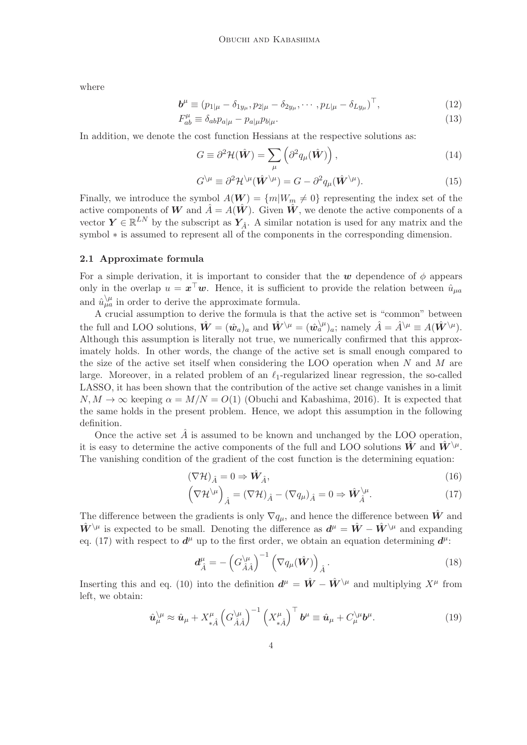where

<span id="page-3-4"></span>
$$
\mathbf{b}^{\mu} \equiv (p_{1|\mu} - \delta_{1y_{\mu}}, p_{2|\mu} - \delta_{2y_{\mu}}, \cdots, p_{L|\mu} - \delta_{Ly_{\mu}})^{\top},
$$
\n(12)

$$
F_{ab}^{\mu} \equiv \delta_{ab} p_{a|\mu} - p_{a|\mu} p_{b|\mu}.
$$
\n(13)

In addition, we denote the cost function Hessians at the respective solutions as:

<span id="page-3-1"></span>
$$
G \equiv \partial^2 \mathcal{H}(\hat{\mathbf{W}}) = \sum_{\mu} \left( \partial^2 q_{\mu}(\hat{\mathbf{W}}) \right), \tag{14}
$$

$$
G^{\setminus\mu} \equiv \partial^2 \mathcal{H}^{\setminus\mu}(\hat{\mathbf{W}}^{\setminus\mu}) = G - \partial^2 q_\mu(\hat{\mathbf{W}}^{\setminus\mu}).\tag{15}
$$

Finally, we introduce the symbol  $A(\mathbf{W}) = \{m|W_m \neq 0\}$  representing the index set of the active components of W and  $\hat{A} = A(\hat{W})$ . Given  $\hat{W}$ , we denote the active components of a vector  $\mathbf{Y} \in \mathbb{R}^{LN}$  by the subscript as  $\mathbf{Y}_{\hat{A}}$ . A similar notation is used for any matrix and the symbol  $∗$  is assumed to represent all of the components in the corresponding dimension.

# <span id="page-3-3"></span>2.1 Approximate formula

For a simple derivation, it is important to consider that the w dependence of  $\phi$  appears only in the overlap  $u = \boldsymbol{x}^\top \boldsymbol{w}$ . Hence, it is sufficient to provide the relation between  $\hat{u}_{\mu a}$ and  $\hat{u}^{\setminus\mu}_{\mu a}$  in order to derive the approximate formula.

A crucial assumption to derive the formula is that the active set is "common" between the full and LOO solutions,  $\hat{\mathbf{W}} = (\hat{\mathbf{w}}_a)_a$  and  $\hat{\mathbf{W}}^{\setminus \mu} = (\hat{\mathbf{w}}_a^{\setminus \mu})_a$ ; namely  $\hat{A} = \hat{A}^{\setminus \mu} \equiv A(\hat{\mathbf{W}}^{\setminus \mu})$ . Although this assumption is literally not true, we numerically confirmed that this approximately holds. In other words, the change of the active set is small enough compared to the size of the active set itself when considering the LOO operation when  $N$  and  $M$  are large. Moreover, in a related problem of an  $\ell_1$ -regularized linear regression, the so-called LASSO, it has been shown that the contribution of the active set change vanishes in a limit  $N, M \to \infty$  keeping  $\alpha = M/N = O(1)$  [\(Obuchi and Kabashima, 2016](#page-18-2)). It is expected that the same holds in the present problem. Hence, we adopt this assumption in the following definition.

Once the active set  $\hat{A}$  is assumed to be known and unchanged by the LOO operation, it is easy to determine the active components of the full and LOO solutions  $\hat{W}$  and  $\hat{W}^{\setminus\mu}$ . The vanishing condition of the gradient of the cost function is the determining equation:

<span id="page-3-0"></span>
$$
(\nabla \mathcal{H})_{\hat{A}} = 0 \Rightarrow \hat{\mathbf{W}}_{\hat{A}},\tag{16}
$$

$$
\left(\nabla \mathcal{H}^{\setminus \mu}\right)_{\hat{A}} = \left(\nabla \mathcal{H}\right)_{\hat{A}} - \left(\nabla q_{\mu}\right)_{\hat{A}} = 0 \Rightarrow \hat{W}_{\hat{A}}^{\setminus \mu}.
$$
\n(17)

The difference between the gradients is only  $\nabla q_\mu$ , and hence the difference between  $\hat{W}$  and  $\hat{W}^{\setminus\mu}$  is expected to be small. Denoting the difference as  $d^{\mu} = \hat{W} - \hat{W}^{\setminus\mu}$  and expanding eq. [\(17\)](#page-3-0) with respect to  $d^{\mu}$  up to the first order, we obtain an equation determining  $d^{\mu}$ :

$$
d_{\hat{A}}^{\mu} = -\left(G_{\hat{A}\hat{A}}^{\setminus\mu}\right)^{-1} \left(\nabla q_{\mu}(\hat{\mathbf{W}})\right)_{\hat{A}}.
$$
\n(18)

Inserting this and eq. [\(10\)](#page-2-1) into the definition  $d^{\mu} = \hat{W} - \hat{W}^{\setminus \mu}$  and multiplying  $X^{\mu}$  from left, we obtain:

<span id="page-3-2"></span>
$$
\hat{\mathbf{u}}_{\mu}^{\setminus\mu} \approx \hat{\mathbf{u}}_{\mu} + X_{*\hat{A}}^{\mu} \left( G_{\hat{A}\hat{A}}^{\setminus\mu} \right)^{-1} \left( X_{*\hat{A}}^{\mu} \right)^{\top} \mathbf{b}^{\mu} \equiv \hat{\mathbf{u}}_{\mu} + C_{\mu}^{\setminus\mu} \mathbf{b}^{\mu}.
$$
 (19)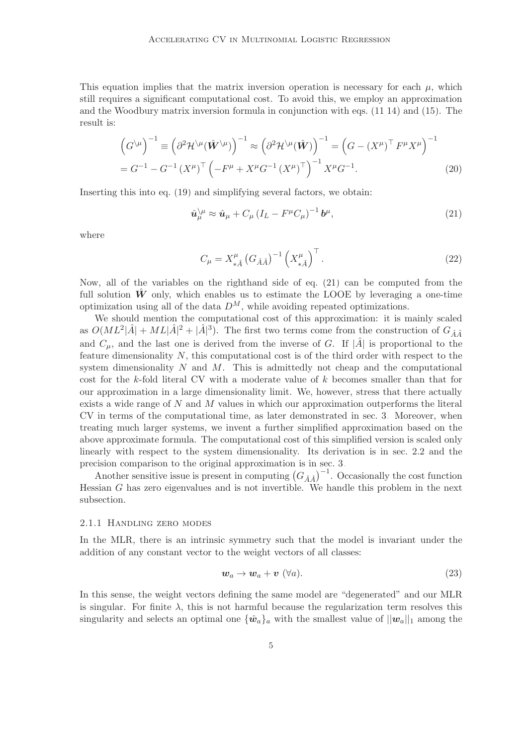This equation implies that the matrix inversion operation is necessary for each  $\mu$ , which still requires a significant computational cost. To avoid this, we employ an approximation and the Woodbury matrix inversion formula in conjunction with eqs. [\(11,](#page-2-1)[14\)](#page-3-1) and [\(15\)](#page-3-1). The result is:

$$
\left(G^{\setminus\mu}\right)^{-1} \equiv \left(\partial^2 \mathcal{H}^{\setminus\mu}(\hat{\mathbf{W}}^{\setminus\mu})\right)^{-1} \approx \left(\partial^2 \mathcal{H}^{\setminus\mu}(\hat{\mathbf{W}})\right)^{-1} = \left(G - (X^{\mu})^{\top} F^{\mu} X^{\mu}\right)^{-1}
$$

$$
= G^{-1} - G^{-1} (X^{\mu})^{\top} \left(-F^{\mu} + X^{\mu} G^{-1} (X^{\mu})^{\top}\right)^{-1} X^{\mu} G^{-1}.
$$
(20)

Inserting this into eq. [\(19\)](#page-3-2) and simplifying several factors, we obtain:

<span id="page-4-0"></span>
$$
\hat{\mathbf{u}}_{\mu}^{\setminus\mu} \approx \hat{\mathbf{u}}_{\mu} + C_{\mu} \left( I_{L} - F^{\mu} C_{\mu} \right)^{-1} \mathbf{b}^{\mu},\tag{21}
$$

where

<span id="page-4-1"></span>
$$
C_{\mu} = X_{*\hat{A}}^{\mu} \left( G_{\hat{A}\hat{A}} \right)^{-1} \left( X_{*\hat{A}}^{\mu} \right)^{\top} . \tag{22}
$$

Now, all of the variables on the righthand side of eq. [\(21\)](#page-4-0) can be computed from the full solution  $\hat{W}$  only, which enables us to estimate the LOOE by leveraging a one-time optimization using all of the data  $D^M$ , while avoiding repeated optimizations.

We should mention the computational cost of this approximation: it is mainly scaled as  $O(ML^2|\hat{A}| + ML|\hat{A}|^2 + |\hat{A}|^3)$ . The first two terms come from the construction of  $G_{\hat{A}\hat{A}}$ and  $C_{\mu}$ , and the last one is derived from the inverse of G. If  $|\hat{A}|$  is proportional to the feature dimensionality N, this computational cost is of the third order with respect to the system dimensionality  $N$  and  $M$ . This is admittedly not cheap and the computational cost for the k-fold literal CV with a moderate value of k becomes smaller than that for our approximation in a large dimensionality limit. We, however, stress that there actually exists a wide range of  $N$  and  $M$  values in which our approximation outperforms the literal CV in terms of the computational time, as later demonstrated in sec. [3.](#page-8-0) Moreover, when treating much larger systems, we invent a further simplified approximation based on the above approximate formula. The computational cost of this simplified version is scaled only linearly with respect to the system dimensionality. Its derivation is in sec. [2.2](#page-7-0) and the precision comparison to the original approximation is in sec. [3.](#page-8-0)

Another sensitive issue is present in computing  $(G_{\hat{A}\hat{A}})^{-1}$ . Occasionally the cost function Hessian G has zero eigenvalues and is not invertible. We handle this problem in the next subsection.

#### 2.1.1 Handling zero modes

In the MLR, there is an intrinsic symmetry such that the model is invariant under the addition of any constant vector to the weight vectors of all classes:

$$
w_a \to w_a + v \; (\forall a). \tag{23}
$$

In this sense, the weight vectors defining the same model are "degenerated" and our MLR is singular. For finite  $\lambda$ , this is not harmful because the regularization term resolves this singularity and selects an optimal one  $\{\hat{w}_a\}_a$  with the smallest value of  $||w_a||_1$  among the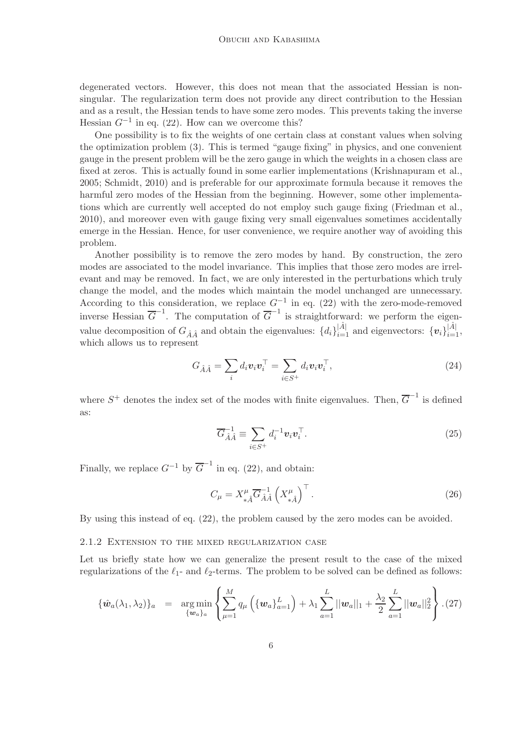degenerated vectors. However, this does not mean that the associated Hessian is nonsingular. The regularization term does not provide any direct contribution to the Hessian and as a result, the Hessian tends to have some zero modes. This prevents taking the inverse Hessian  $G^{-1}$  in eq. [\(22\)](#page-4-1). How can we overcome this?

One possibility is to fix the weights of one certain class at constant values when solving the optimization problem [\(3\)](#page-1-1). This is termed "gauge fixing" in physics, and one convenient gauge in the present problem will be the zero gauge in which the weights in a chosen class are fixed at zeros. This is actually found in some earlier implementations [\(Krishnapuram et al.](#page-18-8), [2005;](#page-18-8) [Schmidt](#page-18-9), [2010\)](#page-18-9) and is preferable for our approximate formula because it removes the harmful zero modes of the Hessian from the beginning. However, some other implementations which are currently well accepted do not employ such gauge fixing [\(Friedman et al.](#page-18-4), [2010\)](#page-18-4), and moreover even with gauge fixing very small eigenvalues sometimes accidentally emerge in the Hessian. Hence, for user convenience, we require another way of avoiding this problem.

Another possibility is to remove the zero modes by hand. By construction, the zero modes are associated to the model invariance. This implies that those zero modes are irrelevant and may be removed. In fact, we are only interested in the perturbations which truly change the model, and the modes which maintain the model unchanged are unnecessary. According to this consideration, we replace  $G^{-1}$  in eq. [\(22\)](#page-4-1) with the zero-mode-removed inverse Hessian  $\overline{G}^{-1}$ . The computation of  $\overline{G}^{-1}$  is straightforward: we perform the eigenvalue decomposition of  $G_{\hat{A}\hat{A}}$  and obtain the eigenvalues:  $\{d_i\}_{i=1}^{|\hat{A}|}$  and eigenvectors:  $\{v_i\}_{i=1}^{|\hat{A}|}$ , which allows us to represent

$$
G_{\hat{A}\hat{A}} = \sum_{i} d_i \boldsymbol{v}_i \boldsymbol{v}_i^\top = \sum_{i \in S^+} d_i \boldsymbol{v}_i \boldsymbol{v}_i^\top,\tag{24}
$$

where  $S^+$  denotes the index set of the modes with finite eigenvalues. Then,  $\overline{G}^{-1}$  is defined as:

<span id="page-5-0"></span>
$$
\overline{G}_{\hat{A}\hat{A}}^{-1} \equiv \sum_{i \in S^+} d_i^{-1} \boldsymbol{v}_i \boldsymbol{v}_i^\top.
$$
 (25)

Finally, we replace  $G^{-1}$  by  $\overline{G}^{-1}$  in eq. [\(22\)](#page-4-1), and obtain:

$$
C_{\mu} = X_{*\hat{A}}^{\mu} \overline{G}_{\hat{A}\hat{A}}^{-1} \left(X_{*\hat{A}}^{\mu}\right)^{\top}.
$$
 (26)

By using this instead of eq. [\(22\)](#page-4-1), the problem caused by the zero modes can be avoided.

#### 2.1.2 Extension to the mixed regularization case

Let us briefly state how we can generalize the present result to the case of the mixed regularizations of the  $\ell_1$ - and  $\ell_2$ -terms. The problem to be solved can be defined as follows:

$$
\{\hat{\boldsymbol{w}}_a(\lambda_1,\lambda_2)\}_a = \argmin_{\{\boldsymbol{w}_a\}_a} \left\{ \sum_{\mu=1}^M q_\mu \left( \{\boldsymbol{w}_a\}_{a=1}^L \right) + \lambda_1 \sum_{a=1}^L ||\boldsymbol{w}_a||_1 + \frac{\lambda_2}{2} \sum_{a=1}^L ||\boldsymbol{w}_a||_2^2 \right\} . (27)
$$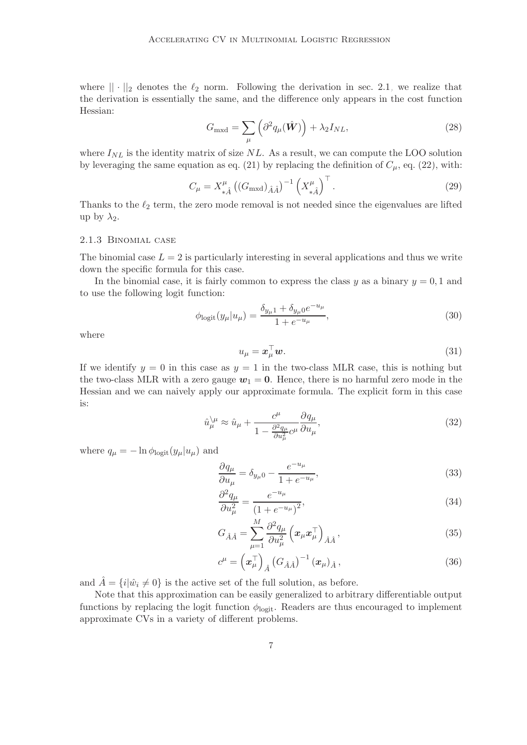where  $|| \cdot ||_2$  denotes the  $\ell_2$  norm. Following the derivation in sec. [2.1,](#page-3-3) we realize that the derivation is essentially the same, and the difference only appears in the cost function Hessian:

$$
G_{\text{mxd}} = \sum_{\mu} \left( \partial^2 q_{\mu}(\hat{\mathbf{W}}) \right) + \lambda_2 I_{NL}, \tag{28}
$$

where  $I_{NL}$  is the identity matrix of size NL. As a result, we can compute the LOO solution by leveraging the same equation as eq. [\(21\)](#page-4-0) by replacing the definition of  $C_{\mu}$ , eq. [\(22\)](#page-4-1), with:

$$
C_{\mu} = X_{*\hat{A}}^{\mu} \left( (G_{\text{mxd}})_{\hat{A}\hat{A}} \right)^{-1} \left( X_{*\hat{A}}^{\mu} \right)^{\top} . \tag{29}
$$

Thanks to the  $\ell_2$  term, the zero mode removal is not needed since the eigenvalues are lifted up by  $\lambda_2$ .

### 2.1.3 Binomial case

The binomial case  $L = 2$  is particularly interesting in several applications and thus we write down the specific formula for this case.

In the binomial case, it is fairly common to express the class  $y$  as a binary  $y = 0, 1$  and to use the following logit function:

$$
\phi_{\text{logit}}(y_{\mu}|u_{\mu}) = \frac{\delta_{y_{\mu}1} + \delta_{y_{\mu}0}e^{-u_{\mu}}}{1 + e^{-u_{\mu}}},\tag{30}
$$

where

$$
u_{\mu} = \boldsymbol{x}_{\mu}^{\top} \boldsymbol{w}.\tag{31}
$$

If we identify  $y = 0$  in this case as  $y = 1$  in the two-class MLR case, this is nothing but the two-class MLR with a zero gauge  $w_1 = 0$ . Hence, there is no harmful zero mode in the Hessian and we can naively apply our approximate formula. The explicit form in this case is:

$$
\hat{u}_{\mu}^{\setminus\mu} \approx \hat{u}_{\mu} + \frac{c^{\mu}}{1 - \frac{\partial^2 q_{\mu}}{\partial u_{\mu}^2} c^{\mu}} \frac{\partial q_{\mu}}{\partial u_{\mu}},\tag{32}
$$

where  $q_{\mu} = -\ln \phi_{\text{logit}}(y_{\mu}|u_{\mu})$  and

$$
\frac{\partial q_{\mu}}{\partial u_{\mu}} = \delta_{y\mu} 0 - \frac{e^{-u_{\mu}}}{1 + e^{-u_{\mu}}},\tag{33}
$$

$$
\frac{\partial^2 q_\mu}{\partial u_\mu^2} = \frac{e^{-u_\mu}}{(1 + e^{-u_\mu})^2},\tag{34}
$$

$$
G_{\hat{A}\hat{A}} = \sum_{\mu=1}^{M} \frac{\partial^2 q_{\mu}}{\partial u_{\mu}^2} \left( \boldsymbol{x}_{\mu} \boldsymbol{x}_{\mu}^{\top} \right)_{\hat{A}\hat{A}},
$$
\n(35)

$$
c^{\mu} = \left(\boldsymbol{x}_{\mu}^{\top}\right)_{\hat{A}} \left(G_{\hat{A}\hat{A}}\right)^{-1} \left(\boldsymbol{x}_{\mu}\right)_{\hat{A}},\tag{36}
$$

and  $\hat{A} = \{i|\hat{w}_i \neq 0\}$  is the active set of the full solution, as before.

Note that this approximation can be easily generalized to arbitrary differentiable output functions by replacing the logit function  $\phi_{\text{logit}}$ . Readers are thus encouraged to implement approximate CVs in a variety of different problems.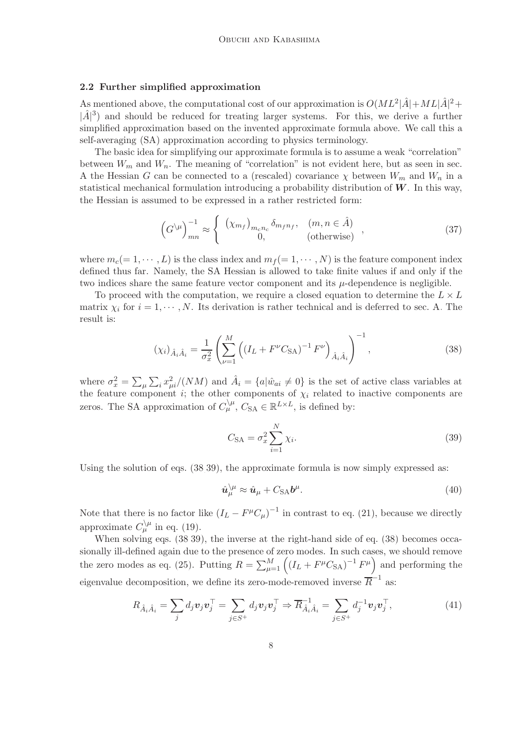# <span id="page-7-0"></span>2.2 Further simplified approximation

As mentioned above, the computational cost of our approximation is  $O(ML^2|\hat{A}|+ML|\hat{A}|^2+$  $|\hat{A}|^3$  and should be reduced for treating larger systems. For this, we derive a further simplified approximation based on the invented approximate formula above. We call this a self-averaging (SA) approximation according to physics terminology.

The basic idea for simplifying our approximate formula is to assume a weak "correlation" between  $W_m$  and  $W_n$ . The meaning of "correlation" is not evident here, but as seen in sec. [A](#page-15-0) the Hessian G can be connected to a (rescaled) covariance  $\chi$  between  $W_m$  and  $W_n$  in a statistical mechanical formulation introducing a probability distribution of  $W$ . In this way, the Hessian is assumed to be expressed in a rather restricted form:

<span id="page-7-5"></span>
$$
\left(G^{\setminus\mu}\right)^{-1}_{mn} \approx \begin{cases} \left(\chi_{m_f}\right)_{m_c n_c} \delta_{m_f n_f}, & (m, n \in \hat{A})\\ 0, & (\text{otherwise}) \end{cases},\tag{37}
$$

where  $m_c(= 1, \dots, L)$  is the class index and  $m_f(= 1, \dots, N)$  is the feature component index defined thus far. Namely, the SA Hessian is allowed to take finite values if and only if the two indices share the same feature vector component and its  $\mu$ -dependence is negligible.

To proceed with the computation, we require a closed equation to determine the  $L \times L$ matrix  $\chi_i$  for  $i = 1, \dots, N$ . Its derivation is rather technical and is deferred to sec. [A.](#page-15-0) The result is:

<span id="page-7-1"></span>
$$
(\chi_i)_{\hat{A}_i \hat{A}_i} = \frac{1}{\sigma_x^2} \left( \sum_{\nu=1}^M \left( (I_L + F^{\nu} C_{\text{SA}})^{-1} F^{\nu} \right)_{\hat{A}_i \hat{A}_i} \right)^{-1}, \tag{38}
$$

where  $\sigma_x^2 = \sum_{\mu} \sum_i x_{\mu i}^2 / (NM)$  and  $\hat{A}_i = \{a | \hat{w}_{ai} \neq 0\}$  is the set of active class variables at the feature component i; the other components of  $\chi_i$  related to inactive components are zeros. The SA approximation of  $C_{\mu}^{\setminus \mu}$ ,  $C_{SA} \in \mathbb{R}^{L \times L}$ , is defined by:

<span id="page-7-2"></span>
$$
C_{\text{SA}} = \sigma_x^2 \sum_{i=1}^{N} \chi_i.
$$
\n(39)

Using the solution of eqs.  $(38,39)$  $(38,39)$ , the approximate formula is now simply expressed as:

<span id="page-7-3"></span>
$$
\hat{u}_{\mu}^{\setminus\mu} \approx \hat{u}_{\mu} + C_{\text{SA}}b^{\mu}.\tag{40}
$$

Note that there is no factor like  $(I_L - F^{\mu}C_{\mu})^{-1}$  in contrast to eq. [\(21\)](#page-4-0), because we directly approximate  $C_{\mu}^{\setminus\mu}$  in eq. [\(19\)](#page-3-2).

When solving eqs.  $(38,39)$  $(38,39)$ , the inverse at the right-hand side of eq.  $(38)$  becomes occasionally ill-defined again due to the presence of zero modes. In such cases, we should remove the zero modes as eq. [\(25\)](#page-5-0). Putting  $R = \sum_{\mu=1}^{M} ((I_L + F^{\mu}C_{SA})^{-1}F^{\mu})$  and performing the eigenvalue decomposition, we define its zero-mode-removed inverse  $\overline{R}^{-1}$  as:

<span id="page-7-4"></span>
$$
R_{\hat{A}_i\hat{A}_i} = \sum_j d_j \boldsymbol{v}_j \boldsymbol{v}_j^\top = \sum_{j \in S^+} d_j \boldsymbol{v}_j \boldsymbol{v}_j^\top \Rightarrow \overline{R}_{\hat{A}_i\hat{A}_i}^{-1} = \sum_{j \in S^+} d_j^{-1} \boldsymbol{v}_j \boldsymbol{v}_j^\top,
$$
\n(41)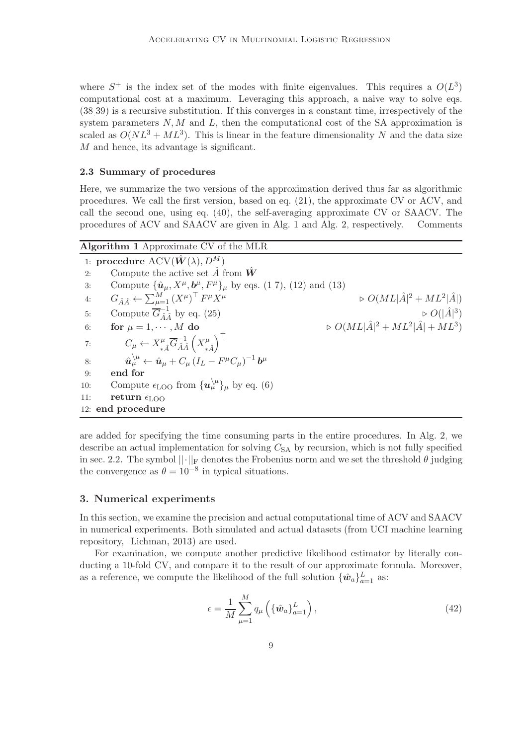where  $S^+$  is the index set of the modes with finite eigenvalues. This requires a  $O(L^3)$ computational cost at a maximum. Leveraging this approach, a naive way to solve eqs. [\(38](#page-7-1)[,39\)](#page-7-2) is a recursive substitution. If this converges in a constant time, irrespectively of the system parameters  $N, M$  and L, then the computational cost of the SA approximation is scaled as  $O(NL^3 + ML^3)$ . This is linear in the feature dimensionality N and the data size M and hence, its advantage is significant.

# 2.3 Summary of procedures

Here, we summarize the two versions of the approximation derived thus far as algorithmic procedures. We call the first version, based on eq. [\(21\)](#page-4-0), the approximate CV or ACV, and call the second one, using eq. [\(40\)](#page-7-3), the self-averaging approximate CV or SAACV. The procedures of ACV and SAACV are given in Alg. [1](#page-8-1) and Alg. [2,](#page-9-0) respectively. Comments

<span id="page-8-1"></span>

| Algorithm 1 Approximate CV of the MLR              |                                                                                                                              |                                                          |
|----------------------------------------------------|------------------------------------------------------------------------------------------------------------------------------|----------------------------------------------------------|
| 1: procedure $\mathrm{ACV}(\hat{W}(\lambda), D^M)$ |                                                                                                                              |                                                          |
| 2:                                                 | Compute the active set $\hat{A}$ from $\hat{W}$                                                                              |                                                          |
| 3:                                                 | Compute $\{\hat{\bm{u}}_{\mu}, X^{\mu}, \bm{b}^{\mu}, F^{\mu}\}_{\mu}$ by eqs. (1,7), (12) and (13)                          |                                                          |
| 4:                                                 | $G_{\hat{A}\hat{A}} \leftarrow \sum_{\mu=1}^{M} (X^{\mu})^{\top} F^{\mu} X^{\mu}$                                            | $\triangleright O(ML \hat{A} ^2 + ML^2 \hat{A} )$        |
| 5:                                                 | Compute $\overline{G}_{\hat{A}\hat{A}}^{-1}$ by eq. (25)                                                                     | $\triangleright$ $O( \hat{A} ^3)$                        |
| 6:                                                 | for $\mu = 1, \cdots, M$ do                                                                                                  | $\triangleright O(ML \hat{A} ^2 + ML^2 \hat{A}  + ML^3)$ |
| 7:                                                 | $C_{\mu} \leftarrow X_{\star \hat{A}}^{\mu} \overline{G}_{\hat{A}\hat{A}}^{-1} \left(X_{\star \hat{A}}^{\mu}\right)^{\perp}$ |                                                          |
| 8:                                                 | $\hat{\bm{u}}_u^{\setminus\mu} \leftarrow \hat{\bm{u}}_u + C_u (I_L - F^{\mu} C_u)^{-1} \bm{b}^{\mu}$                        |                                                          |
| 9:                                                 | end for                                                                                                                      |                                                          |
| 10:                                                | Compute $\epsilon_{\text{LOO}}$ from $\{u_{\mu}^{\backslash \mu}\}_\mu$ by eq. (6)                                           |                                                          |
| 11:                                                | return $\epsilon_{\text{LOO}}$                                                                                               |                                                          |
|                                                    | 12: end procedure                                                                                                            |                                                          |

are added for specifying the time consuming parts in the entire procedures. In Alg. [2,](#page-9-0) we describe an actual implementation for solving  $C_{SA}$  by recursion, which is not fully specified in sec. [2.2.](#page-7-0) The symbol  $||\cdot||_F$  denotes the Frobenius norm and we set the threshold  $\theta$  judging the convergence as  $\theta = 10^{-8}$  in typical situations.

# <span id="page-8-0"></span>3. Numerical experiments

In this section, we examine the precision and actual computational time of ACV and SAACV in numerical experiments. Both simulated and actual datasets (from UCI machine learning repository, [Lichman](#page-18-5), [2013\)](#page-18-5) are used.

For examination, we compute another predictive likelihood estimator by literally conducting a 10-fold CV, and compare it to the result of our approximate formula. Moreover, as a reference, we compute the likelihood of the full solution  $\{\hat{w}_a\}_{a=1}^L$  as:

$$
\epsilon = \frac{1}{M} \sum_{\mu=1}^{M} q_{\mu} \left( \{ \hat{\boldsymbol{w}}_{a} \}_{a=1}^{L} \right), \qquad (42)
$$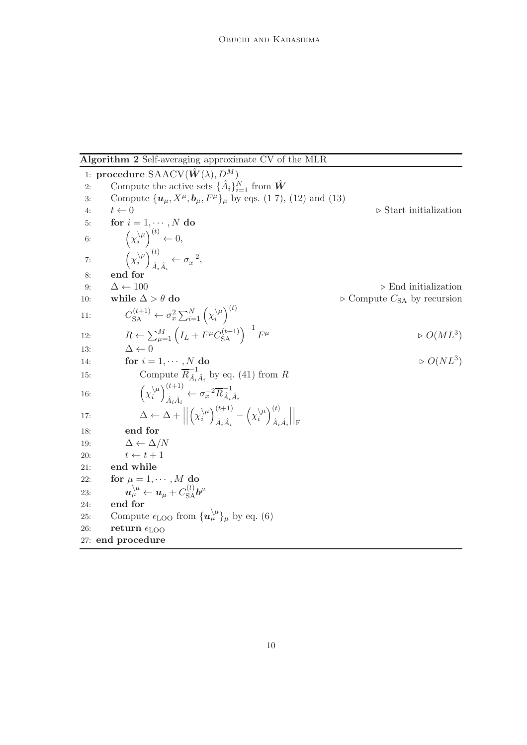<span id="page-9-0"></span>Algorithm 2 Self-averaging approximate CV of the MLR

1: procedure  $\text{SAACV}(\hat{W}(\lambda), D^M)$ 2: Compute the active sets  $\{\hat{A}_i\}_{i=1}^N$  from  $\hat{W}$ 3: Compute  $\{u_{\mu}, X^{\mu}, b_{\mu}, F^{\mu}\}_{\mu}$  by eqs. [\(1](#page-0-0)[,7\)](#page-2-2), [\(12\)](#page-3-4) and [\(13\)](#page-3-4) 4:  $t \leftarrow 0$ <br>5: **for**  $i = 1, \dots, N$  **do** for  $i = 1, \cdots, N$  do 6:  $\left(\chi_i^{\setminus\mu}\right)$  $\lambda^{(\mu)}_i \leftarrow 0,$ 7:  $\left(\chi_i^{\setminus\mu}\right)$  $\binom{\mu}{i}\binom{t}{\hat{\lambda}}$  $A_i \hat{A}_i \leftarrow \sigma_x^{-2},$ 8: end for 9:  $\Delta \leftarrow 100$   $\triangleright$  End initialization<br>10: while  $\Delta > \theta$  do  $\triangleright$  Compute  $C_{SA}$  by recursion  $\triangleright$  Compute  $C_{SA}$  by recursion 11:  $C_{\text{SA}}^{(t+1)} \leftarrow \sigma_x^2 \sum_{i=1}^N \left(\chi_i^{\setminus \mu}\right)$  $\binom{(\mu)}{i}^{(t)}$ 12:  $R \leftarrow \sum_{\mu=1}^{M} \left( I_L + F^{\mu} C_{\text{SA}}^{(t+1)} \right)^{-1} F$  $\mu$   $\Rightarrow$   $O(ML^3)$ 13:  $\Delta \leftarrow 0$ 14: for  $i = 1, \dots, N$  do  $\triangleright$   $O(NL^3)$ 15: Compute  $\overline{R}_{\hat{A}_1}^{-1}$  $\overline{\hat{A}_i \hat{A}_i}$  by eq. [\(41\)](#page-7-4) from R i 16:  $\left(\chi_i^{\setminus\mu}\right)$  $\binom{\lambda\mu}{i}\binom{t+1}{\hat{\lambda}-\hat{\lambda}}$  $\frac{1}{\hat{A}_i \hat{A}_i} \leftarrow \sigma_x^{-2} \overline{R}_{\hat{A}_i}^{-1}$  $\hat{A}_i\hat{A}_i$ 17:  $\Delta \leftarrow \Delta +$  $\begin{array}{c} \hline \end{array}$  $\left(\chi_i^{\setminus\mu}\right)$  $\binom{k}{i}$  $\binom{(t+1)}{\hat{i}+\hat{j}}$  $\frac{1}{\hat{A}_i \hat{A}_i} - \left(\chi_i^{\setminus \mu}\right)$  $\binom{\mu}{i}$  $\binom{t}{\hat{\lambda}}$  $\hat{A}_i\hat{A}_i$   $\Big|_{\rm F}$ 18: end for 19:  $\Delta \leftarrow \Delta/N$ <br>20:  $t \leftarrow t+1$ 20:  $t \leftarrow t + 1$ <br>21: end while end while 22: for  $\mu = 1, \cdots, M$  do 23:  $\boldsymbol{u}^{\setminus\mu}_\mu\leftarrow \boldsymbol{u}_\mu+C_{\mathrm{SA}}^{(t)}\boldsymbol{b}^\mu$ 24: end for 25: Compute  $\epsilon_{\text{LOO}}$  from  $\{u_{\mu}^{\setminus\mu}\}\mu$  by eq. [\(6\)](#page-2-3) 26: return  $\epsilon_{\text{LOO}}$ 27: end procedure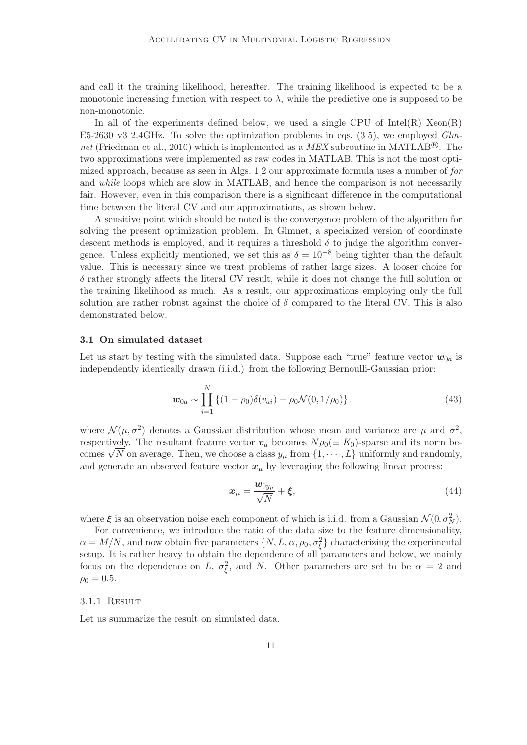and call it the training likelihood, hereafter. The training likelihood is expected to be a monotonic increasing function with respect to  $\lambda$ , while the predictive one is supposed to be non-monotonic.

In all of the experiments defined below, we used a single CPU of  $Intel(R)$   $Xeon(R)$ E5-2630 v3 2.4GHz. To solve the optimization problems in eqs. [\(3,](#page-1-1)[5\)](#page-2-0), we employed *Glm-*net [\(Friedman et al., 2010](#page-18-4)) which is implemented as a MEX subroutine in MATLAB<sup>®</sup>. The two approximations were implemented as raw codes in MATLAB. This is not the most optimized approach, because as seen in Algs. [1](#page-8-1)[,2](#page-9-0) our approximate formula uses a number of *for* and *while* loops which are slow in MATLAB, and hence the comparison is not necessarily fair. However, even in this comparison there is a significant difference in the computational time between the literal CV and our approximations, as shown below.

A sensitive point which should be noted is the convergence problem of the algorithm for solving the present optimization problem. In Glmnet, a specialized version of coordinate descent methods is employed, and it requires a threshold  $\delta$  to judge the algorithm convergence. Unless explicitly mentioned, we set this as  $\delta = 10^{-8}$  being tighter than the default value. This is necessary since we treat problems of rather large sizes. A looser choice for  $\delta$  rather strongly affects the literal CV result, while it does not change the full solution or the training likelihood as much. As a result, our approximations employing only the full solution are rather robust against the choice of  $\delta$  compared to the literal CV. This is also demonstrated below.

### 3.1 On simulated dataset

Let us start by testing with the simulated data. Suppose each "true" feature vector  $w_{0a}$  is independently identically drawn (i.i.d.) from the following Bernoulli-Gaussian prior:

$$
\boldsymbol{w}_{0a} \sim \prod_{i=1}^{N} \left\{ (1 - \rho_0) \delta(v_{ai}) + \rho_0 \mathcal{N}(0, 1/\rho_0) \right\},\tag{43}
$$

where  $\mathcal{N}(\mu, \sigma^2)$  denotes a Gaussian distribution whose mean and variance are  $\mu$  and  $\sigma^2$ , respectively. The resultant feature vector  $v_a$  becomes  $N \rho_0 (\equiv K_0)$ -sparse and its norm becomes  $\sqrt{N}$  on average. Then, we choose a class  $y_{\mu}$  from  $\{1, \dots, L\}$  uniformly and randomly, and generate an observed feature vector  $x_{\mu}$  by leveraging the following linear process:

$$
x_{\mu} = \frac{w_{0y_{\mu}}}{\sqrt{N}} + \xi, \qquad (44)
$$

where  $\xi$  is an observation noise each component of which is i.i.d. from a Gaussian  $\mathcal{N}(0, \sigma_N^2)$ .

For convenience, we introduce the ratio of the data size to the feature dimensionality,  $\alpha = M/N$ , and now obtain five parameters  $\{N, L, \alpha, \rho_0, \sigma_{\xi}^2\}$  characterizing the experimental setup. It is rather heavy to obtain the dependence of all parameters and below, we mainly focus on the dependence on L,  $\sigma_{\xi}^2$ , and N. Other parameters are set to be  $\alpha = 2$  and  $\rho_0 = 0.5$ .

### 3.1.1 Result

Let us summarize the result on simulated data.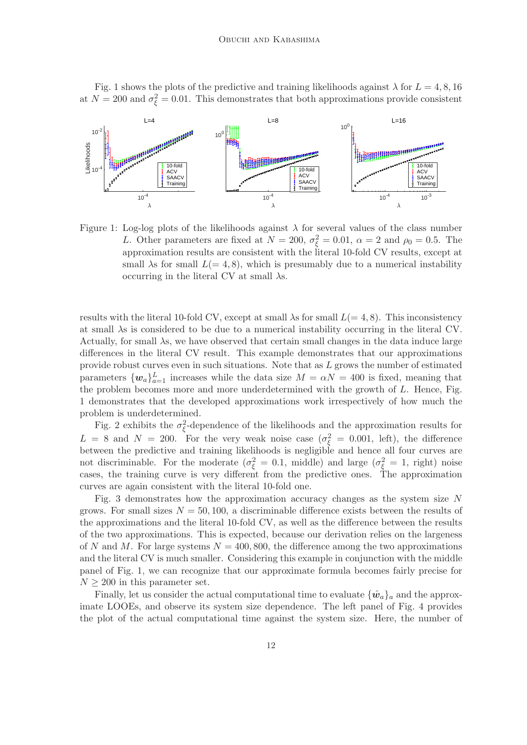Fig. [1](#page-11-0) shows the plots of the predictive and training likelihoods against  $\lambda$  for  $L = 4, 8, 16$ at  $N = 200$  and  $\sigma_{\xi}^2 = 0.01$ . This demonstrates that both approximations provide consistent



<span id="page-11-0"></span>Figure 1: Log-log plots of the likelihoods against  $\lambda$  for several values of the class number L. Other parameters are fixed at  $N = 200$ ,  $\sigma_{\xi}^2 = 0.01$ ,  $\alpha = 2$  and  $\rho_0 = 0.5$ . The approximation results are consistent with the literal 10-fold CV results, except at small  $\lambda$ s for small  $L(= 4, 8)$ , which is presumably due to a numerical instability occurring in the literal CV at small  $\lambda$ s.

results with the literal 10-fold CV, except at small  $\lambda$ s for small  $L(= 4, 8)$ . This inconsistency at small  $\lambda$ s is considered to be due to a numerical instability occurring in the literal CV. Actually, for small  $\lambda$ s, we have observed that certain small changes in the data induce large differences in the literal CV result. This example demonstrates that our approximations provide robust curves even in such situations. Note that as L grows the number of estimated parameters  $\{w_a\}_{a=1}^L$  increases while the data size  $M = \alpha N = 400$  is fixed, meaning that the problem becomes more and more underdetermined with the growth of L. Hence, Fig. [1](#page-11-0) demonstrates that the developed approximations work irrespectively of how much the problem is underdetermined.

Fig. [2](#page-12-0) exhibits the  $\sigma_{\xi}^2$ -dependence of the likelihoods and the approximation results for  $L = 8$  and  $N = 200$ . For the very weak noise case  $(\sigma_{\xi}^2 = 0.001, \text{ left})$ , the difference between the predictive and training likelihoods is negligible and hence all four curves are not discriminable. For the moderate  $(\sigma_{\xi}^2 = 0.1, \text{ middle})$  and large  $(\sigma_{\xi}^2 = 1, \text{ right})$  noise cases, the training curve is very different from the predictive ones. The approximation curves are again consistent with the literal 10-fold one.

Fig. [3](#page-12-1) demonstrates how the approximation accuracy changes as the system size N grows. For small sizes  $N = 50, 100$ , a discriminable difference exists between the results of the approximations and the literal 10-fold CV, as well as the difference between the results of the two approximations. This is expected, because our derivation relies on the largeness of N and M. For large systems  $N = 400, 800$ , the difference among the two approximations and the literal CV is much smaller. Considering this example in conjunction with the middle panel of Fig. [1,](#page-11-0) we can recognize that our approximate formula becomes fairly precise for  $N \geq 200$  in this parameter set.

Finally, let us consider the actual computational time to evaluate  $\{\hat{w}_a\}_a$  and the approximate LOOEs, and observe its system size dependence. The left panel of Fig. [4](#page-13-0) provides the plot of the actual computational time against the system size. Here, the number of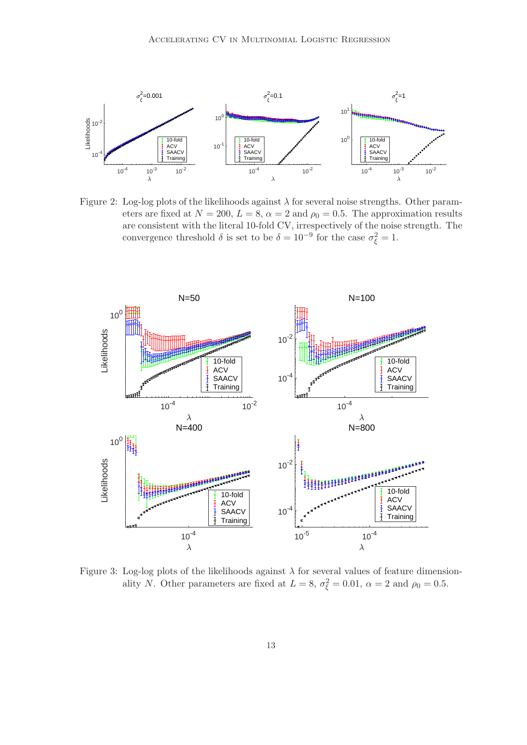

<span id="page-12-0"></span>Figure 2: Log-log plots of the likelihoods against  $\lambda$  for several noise strengths. Other parameters are fixed at  $N = 200, L = 8, \alpha = 2$  and  $\rho_0 = 0.5$ . The approximation results are consistent with the literal 10-fold CV, irrespectively of the noise strength. The convergence threshold  $\delta$  is set to be  $\delta = 10^{-9}$  for the case  $\sigma_{\xi}^2 = 1$ .



<span id="page-12-1"></span>Figure 3: Log-log plots of the likelihoods against  $\lambda$  for several values of feature dimensionality N. Other parameters are fixed at  $L = 8$ ,  $\sigma_{\xi}^2 = 0.01$ ,  $\alpha = 2$  and  $\rho_0 = 0.5$ .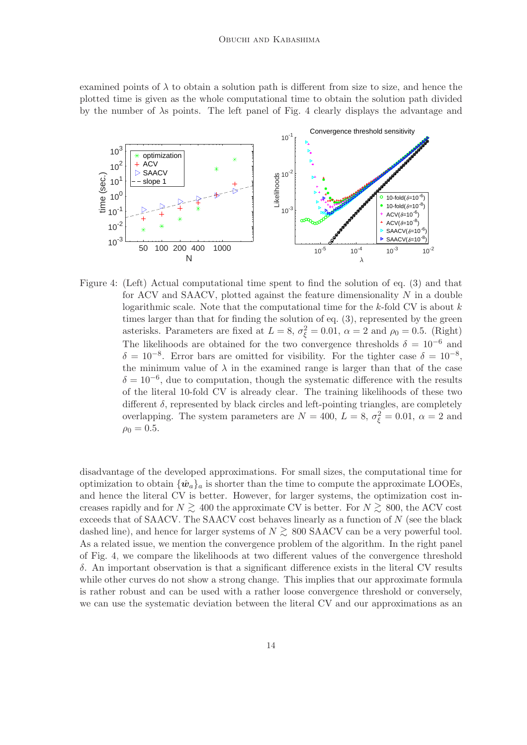examined points of  $\lambda$  to obtain a solution path is different from size to size, and hence the plotted time is given as the whole computational time to obtain the solution path divided by the number of  $\lambda$ s points. The left panel of Fig. [4](#page-13-0) clearly displays the advantage and



<span id="page-13-0"></span>Figure 4: (Left) Actual computational time spent to find the solution of eq. [\(3\)](#page-1-1) and that for ACV and SAACV, plotted against the feature dimensionality  $N$  in a double logarithmic scale. Note that the computational time for the  $k$ -fold CV is about  $k$ times larger than that for finding the solution of eq. [\(3\)](#page-1-1), represented by the green asterisks. Parameters are fixed at  $L = 8$ ,  $\sigma_{\xi}^2 = 0.01$ ,  $\alpha = 2$  and  $\rho_0 = 0.5$ . (Right) The likelihoods are obtained for the two convergence thresholds  $\delta = 10^{-6}$  and  $\delta = 10^{-8}$ . Error bars are omitted for visibility. For the tighter case  $\delta = 10^{-8}$ , the minimum value of  $\lambda$  in the examined range is larger than that of the case  $\delta = 10^{-6}$ , due to computation, though the systematic difference with the results of the literal 10-fold CV is already clear. The training likelihoods of these two different  $\delta$ , represented by black circles and left-pointing triangles, are completely overlapping. The system parameters are  $N = 400$ ,  $L = 8$ ,  $\sigma_{\xi}^2 = 0.01$ ,  $\alpha = 2$  and  $\rho_0 = 0.5$ .

disadvantage of the developed approximations. For small sizes, the computational time for optimization to obtain  $\{\hat{w}_a\}_a$  is shorter than the time to compute the approximate LOOEs, and hence the literal CV is better. However, for larger systems, the optimization cost increases rapidly and for  $N \ge 400$  the approximate CV is better. For  $N \ge 800$ , the ACV cost exceeds that of SAACV. The SAACV cost behaves linearly as a function of N (see the black dashed line), and hence for larger systems of  $N \gtrsim 800$  SAACV can be a very powerful tool. As a related issue, we mention the convergence problem of the algorithm. In the right panel of Fig. [4,](#page-13-0) we compare the likelihoods at two different values of the convergence threshold δ. An important observation is that a significant difference exists in the literal CV results while other curves do not show a strong change. This implies that our approximate formula is rather robust and can be used with a rather loose convergence threshold or conversely, we can use the systematic deviation between the literal CV and our approximations as an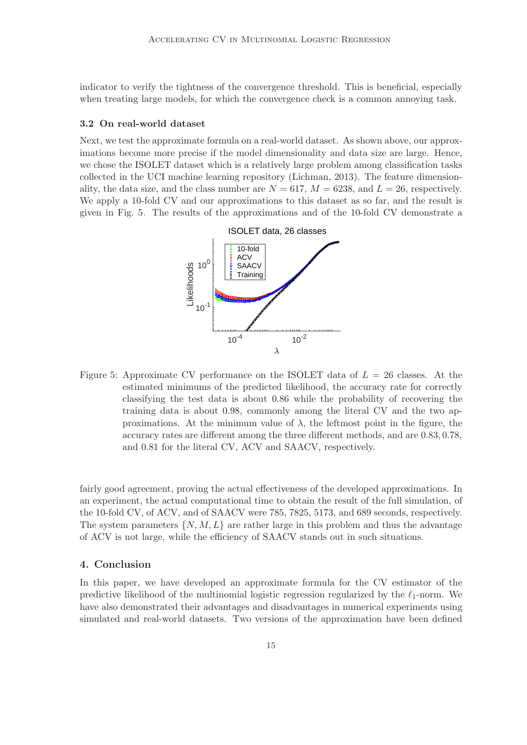indicator to verify the tightness of the convergence threshold. This is beneficial, especially when treating large models, for which the convergence check is a common annoying task.

### 3.2 On real-world dataset

Next, we test the approximate formula on a real-world dataset. As shown above, our approximations become more precise if the model dimensionality and data size are large. Hence, we chose the ISOLET dataset which is a relatively large problem among classification tasks collected in the UCI machine learning repository [\(Lichman,](#page-18-5) [2013](#page-18-5)). The feature dimensionality, the data size, and the class number are  $N = 617$ ,  $M = 6238$ , and  $L = 26$ , respectively. We apply a 10-fold CV and our approximations to this dataset as so far, and the result is given in Fig. [5.](#page-14-0) The results of the approximations and of the 10-fold CV demonstrate a



<span id="page-14-0"></span>Figure 5: Approximate CV performance on the ISOLET data of  $L = 26$  classes. At the estimated minimums of the predicted likelihood, the accuracy rate for correctly classifying the test data is about 0.86 while the probability of recovering the training data is about 0.98, commonly among the literal CV and the two approximations. At the minimum value of  $\lambda$ , the leftmost point in the figure, the accuracy rates are different among the three different methods, and are 0.83, 0.78, and 0.81 for the literal CV, ACV and SAACV, respectively.

fairly good agreement, proving the actual effectiveness of the developed approximations. In an experiment, the actual computational time to obtain the result of the full simulation, of the 10-fold CV, of ACV, and of SAACV were 785, 7825, 5173, and 689 seconds, respectively. The system parameters  $\{N, M, L\}$  are rather large in this problem and thus the advantage of ACV is not large, while the efficiency of SAACV stands out in such situations.

# 4. Conclusion

In this paper, we have developed an approximate formula for the CV estimator of the predictive likelihood of the multinomial logistic regression regularized by the  $\ell_1$ -norm. We have also demonstrated their advantages and disadvantages in numerical experiments using simulated and real-world datasets. Two versions of the approximation have been defined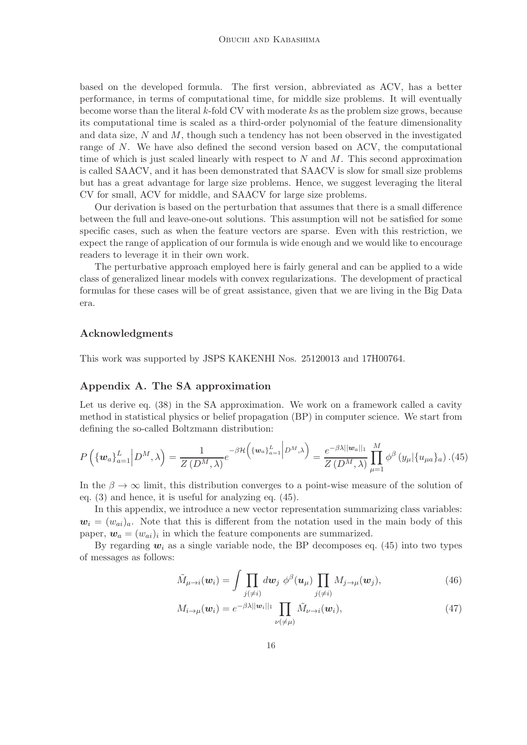based on the developed formula. The first version, abbreviated as ACV, has a better performance, in terms of computational time, for middle size problems. It will eventually become worse than the literal k-fold CV with moderate ks as the problem size grows, because its computational time is scaled as a third-order polynomial of the feature dimensionality and data size,  $N$  and  $M$ , though such a tendency has not been observed in the investigated range of N. We have also defined the second version based on ACV, the computational time of which is just scaled linearly with respect to  $N$  and  $M$ . This second approximation is called SAACV, and it has been demonstrated that SAACV is slow for small size problems but has a great advantage for large size problems. Hence, we suggest leveraging the literal CV for small, ACV for middle, and SAACV for large size problems.

Our derivation is based on the perturbation that assumes that there is a small difference between the full and leave-one-out solutions. This assumption will not be satisfied for some specific cases, such as when the feature vectors are sparse. Even with this restriction, we expect the range of application of our formula is wide enough and we would like to encourage readers to leverage it in their own work.

The perturbative approach employed here is fairly general and can be applied to a wide class of generalized linear models with convex regularizations. The development of practical formulas for these cases will be of great assistance, given that we are living in the Big Data era.

# Acknowledgments

This work was supported by JSPS KAKENHI Nos. 25120013 and 17H00764.

# <span id="page-15-0"></span>Appendix A. The SA approximation

Let us derive eq. [\(38\)](#page-7-1) in the SA approximation. We work on a framework called a cavity method in statistical physics or belief propagation (BP) in computer science. We start from defining the so-called Boltzmann distribution:

<span id="page-15-1"></span>
$$
P\left(\{\mathbf{w}_a\}_{a=1}^L \middle| D^M, \lambda\right) = \frac{1}{Z\left(D^M, \lambda\right)} e^{-\beta \mathcal{H}\left(\{\mathbf{w}_a\}_{a=1}^L \middle| D^M, \lambda\right)} = \frac{e^{-\beta \lambda ||\mathbf{w}_a||_1}}{Z\left(D^M, \lambda\right)} \prod_{\mu=1}^M \phi^\beta\left(y_\mu \middle| \{u_{\mu a}\}_a\right). (45)
$$

In the  $\beta \to \infty$  limit, this distribution converges to a point-wise measure of the solution of eq. [\(3\)](#page-1-1) and hence, it is useful for analyzing eq. [\(45\)](#page-15-1).

In this appendix, we introduce a new vector representation summarizing class variables:  $w_i = (w_{ai})_a$ . Note that this is different from the notation used in the main body of this paper,  $w_a = (w_{ai})_i$  in which the feature components are summarized.

By regarding  $w_i$  as a single variable node, the BP decomposes eq. [\(45\)](#page-15-1) into two types of messages as follows:

<span id="page-15-2"></span>
$$
\tilde{M}_{\mu \to i}(\boldsymbol{w}_i) = \int \prod_{j(\neq i)} d\boldsymbol{w}_j \; \phi^{\beta}(\boldsymbol{u}_{\mu}) \prod_{j(\neq i)} M_{j \to \mu}(\boldsymbol{w}_j), \tag{46}
$$

$$
M_{i \to \mu}(\boldsymbol{w}_i) = e^{-\beta \lambda ||\boldsymbol{w}_i||_1} \prod_{\nu(\neq \mu)} \tilde{M}_{\nu \to i}(\boldsymbol{w}_i), \qquad (47)
$$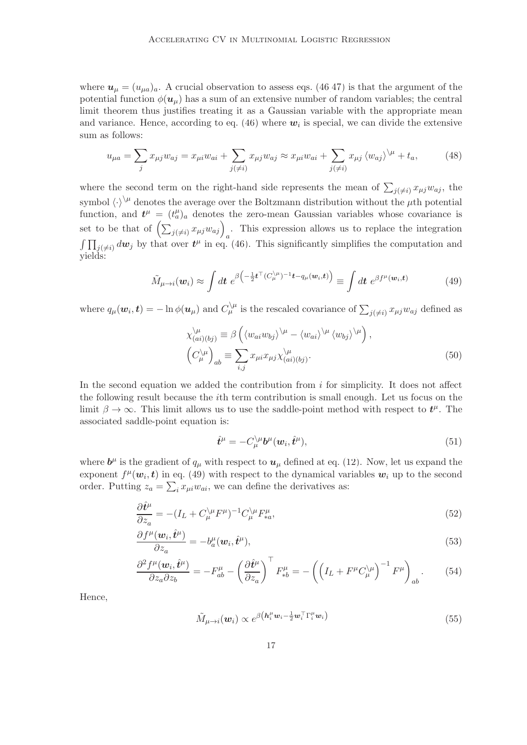where  $u_{\mu} = (u_{\mu a})_a$ . A crucial observation to assess eqs. [\(46,47\)](#page-15-2) is that the argument of the potential function  $\phi(\mathbf{u}_{\mu})$  has a sum of an extensive number of random variables; the central limit theorem thus justifies treating it as a Gaussian variable with the appropriate mean and variance. Hence, according to eq. [\(46\)](#page-15-2) where  $w_i$  is special, we can divide the extensive sum as follows:

$$
u_{\mu a} = \sum_j x_{\mu j} w_{aj} = x_{\mu i} w_{ai} + \sum_{j(\neq i)} x_{\mu j} w_{aj} \approx x_{\mu i} w_{ai} + \sum_{j(\neq i)} x_{\mu j} \langle w_{aj} \rangle^{\backslash \mu} + t_a,
$$
(48)

where the second term on the right-hand side represents the mean of  $\sum_{j(\neq i)} x_{\mu j} w_{aj}$ , the symbol  $\langle \cdot \rangle^{\setminus \mu}$  denotes the average over the Boltzmann distribution without the  $\mu$ th potential function, and  $t^{\mu} = (t^{\mu}_a)_a$  denotes the zero-mean Gaussian variables whose covariance is set to be that of  $\left(\sum_{j(\neq i)} x_{\mu j} w_{aj}\right)_a$ . This expression allows us to replace the integration  $\int \prod_{j(\neq i)} d\mathbf{w}_j$  by that over  $\mathbf{t}^{\mu}$  in eq. [\(46\)](#page-15-2). This significantly simplifies the computation and yields:

<span id="page-16-0"></span>
$$
\tilde{M}_{\mu \to i}(\boldsymbol{w}_i) \approx \int d\boldsymbol{t} \; e^{\beta \left(-\frac{1}{2} \boldsymbol{t}^\top (C_{\mu}^{\setminus \mu})^{-1} \boldsymbol{t} - q_{\mu}(\boldsymbol{w}_i, \boldsymbol{t})\right)} \equiv \int d\boldsymbol{t} \; e^{\beta f^{\mu}(\boldsymbol{w}_i, \boldsymbol{t})} \tag{49}
$$

where  $q_\mu(\bm{w}_i, \bm{t}) = -\ln \phi(\bm{u}_\mu)$  and  $C_\mu^{\setminus \mu}$  is the rescaled covariance of  $\sum_{j(\neq i)} x_{\mu j} w_{aj}$  defined as

$$
\chi_{(ai)(bj)}^{\backslash \mu} \equiv \beta \left( \langle w_{ai} w_{bj} \rangle^{\backslash \mu} - \langle w_{ai} \rangle^{\backslash \mu} \langle w_{bj} \rangle^{\backslash \mu} \right),
$$
  
\n
$$
\left( C_{\mu}^{\backslash \mu} \right)_{ab} \equiv \sum_{i,j} x_{\mu i} x_{\mu j} \chi_{(ai)(bj)}^{\backslash \mu}.
$$
\n(50)

In the second equation we added the contribution from  $i$  for simplicity. It does not affect the following result because the ith term contribution is small enough. Let us focus on the limit  $\beta \to \infty$ . This limit allows us to use the saddle-point method with respect to  $t^{\mu}$ . The associated saddle-point equation is:

$$
\hat{\boldsymbol{t}}^{\mu} = -C_{\mu}^{\setminus\mu}\boldsymbol{b}^{\mu}(\boldsymbol{w}_{i}, \hat{\boldsymbol{t}}^{\mu}),\tag{51}
$$

where  $\mathbf{b}^{\mu}$  is the gradient of  $q_{\mu}$  with respect to  $\mathbf{u}_{\mu}$  defined at eq. [\(12\)](#page-3-4). Now, let us expand the exponent  $f^{\mu}(\boldsymbol{w}_i, t)$  in eq. [\(49\)](#page-16-0) with respect to the dynamical variables  $\boldsymbol{w}_i$  up to the second order. Putting  $z_a = \sum_i x_{\mu i} w_{ai}$ , we can define the derivatives as:

$$
\frac{\partial \hat{t}^{\mu}}{\partial z_{a}} = -(I_{L} + C_{\mu}^{\setminus \mu} F^{\mu})^{-1} C_{\mu}^{\setminus \mu} F_{*a}^{\mu},\tag{52}
$$

$$
\frac{\partial f^{\mu}(\boldsymbol{w}_i, \hat{\boldsymbol{t}}^{\mu})}{\partial z_a} = -b_a^{\mu}(\boldsymbol{w}_i, \hat{\boldsymbol{t}}^{\mu}),
$$
\n(53)

$$
\frac{\partial^2 f^\mu(\boldsymbol{w}_i, \hat{t}^\mu)}{\partial z_a \partial z_b} = -F_{ab}^\mu - \left(\frac{\partial \hat{t}^\mu}{\partial z_a}\right)^\top F_{*b}^\mu = -\left(\left(I_L + F^\mu C_\mu^\mu\right)^{-1} F^\mu\right)_{ab}.\tag{54}
$$

Hence,

$$
\tilde{M}_{\mu \to i}(\boldsymbol{w}_i) \propto e^{\beta \left(\boldsymbol{h}_i^{\mu} \boldsymbol{w}_i - \frac{1}{2} \boldsymbol{w}_i^{\top} \boldsymbol{\Gamma}_i^{\mu} \boldsymbol{w}_i\right)}
$$
(55)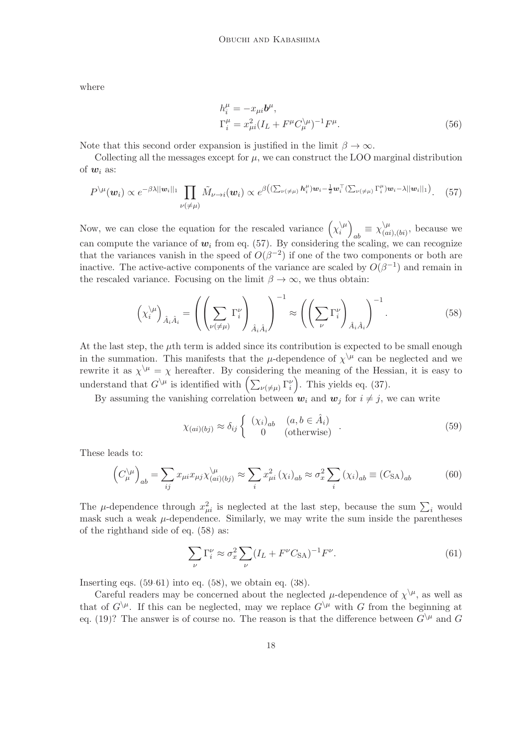where

$$
h_i^{\mu} = -x_{\mu i} b^{\mu},
$$
  
\n
$$
\Gamma_i^{\mu} = x_{\mu i}^2 (I_L + F^{\mu} C_{\mu}^{\setminus \mu})^{-1} F^{\mu}.
$$
\n(56)

Note that this second order expansion is justified in the limit  $\beta \to \infty$ .

Collecting all the messages except for  $\mu$ , we can construct the LOO marginal distribution of  $w_i$  as:

<span id="page-17-0"></span>
$$
P^{\setminus\mu}(\boldsymbol{w}_i) \propto e^{-\beta\lambda||\boldsymbol{w}_i||_1} \prod_{\nu(\neq\mu)} \tilde{M}_{\nu\to i}(\boldsymbol{w}_i) \propto e^{\beta\left((\sum_{\nu(\neq\mu)} h_i^{\mu})\boldsymbol{w}_i - \frac{1}{2}\boldsymbol{w}_i^{\top}(\sum_{\nu(\neq\mu)} \Gamma_i^{\mu})\boldsymbol{w}_i - \lambda||\boldsymbol{w}_i||_1\right)}. (57)
$$

Now, we can close the equation for the rescaled variance  $(\chi_i^{\setminus \mu})$  $\binom{|\mu|}{i}$  $_{ab} \equiv \chi^{\setminus\mu}_{(ai)}$  $\binom{\mu}{(ai),(bi)}$ , because we can compute the variance of  $w_i$  from eq. [\(57\)](#page-17-0). By considering the scaling, we can recognize that the variances vanish in the speed of  $O(\beta^{-2})$  if one of the two components or both are inactive. The active-active components of the variance are scaled by  $O(\beta^{-1})$  and remain in the rescaled variance. Focusing on the limit  $\beta \to \infty$ , we thus obtain:

<span id="page-17-1"></span>
$$
\left(\chi_i^{\setminus\mu}\right)_{\hat{A}_i\hat{A}_i} = \left(\left(\sum_{\nu(\neq\mu)}\Gamma_i^{\nu}\right)_{\hat{A}_i\hat{A}_i}\right)^{-1} \approx \left(\left(\sum_{\nu}\Gamma_i^{\nu}\right)_{\hat{A}_i\hat{A}_i}\right)^{-1}.
$$
\n(58)

At the last step, the  $\mu$ th term is added since its contribution is expected to be small enough in the summation. This manifests that the  $\mu$ -dependence of  $\chi^{\setminus\mu}$  can be neglected and we rewrite it as  $\chi^{\setminus\mu} = \chi$  hereafter. By considering the meaning of the Hessian, it is easy to understand that  $G^{\setminus\mu}$  is identified with  $\left(\sum_{\nu(\neq\mu)}\Gamma_i^{\nu}\right)$ . This yields eq. [\(37\)](#page-7-5).

By assuming the vanishing correlation between  $w_i$  and  $w_j$  for  $i \neq j$ , we can write

<span id="page-17-2"></span>
$$
\chi_{(ai)(bj)} \approx \delta_{ij} \begin{cases} (\chi_i)_{ab} & (a, b \in \hat{A}_i) \\ 0 & (\text{otherwise}) \end{cases} . \tag{59}
$$

These leads to:

$$
\left(C_{\mu}^{\setminus\mu}\right)_{ab} = \sum_{ij} x_{\mu i} x_{\mu j} \chi_{(ai)(bj)}^{\setminus\mu} \approx \sum_{i} x_{\mu i}^2 \left(\chi_i\right)_{ab} \approx \sigma_x^2 \sum_{i} \left(\chi_i\right)_{ab} \equiv \left(C_{\text{SA}}\right)_{ab} \tag{60}
$$

The  $\mu$ -dependence through  $x_{\mu i}^2$  is neglected at the last step, because the sum  $\sum_i$  would mask such a weak  $\mu$ -dependence. Similarly, we may write the sum inside the parentheses of the righthand side of eq. [\(58\)](#page-17-1) as:

<span id="page-17-3"></span>
$$
\sum_{\nu} \Gamma_i^{\nu} \approx \sigma_x^2 \sum_{\nu} (I_L + F^{\nu} C_{\text{SA}})^{-1} F^{\nu}.
$$
 (61)

Inserting eqs.  $(59-61)$  $(59-61)$  into eq.  $(58)$ , we obtain eq.  $(38)$ .

Careful readers may be concerned about the neglected  $\mu$ -dependence of  $\chi^{\setminus\mu}$ , as well as that of  $G\backslash^{\mu}$ . If this can be neglected, may we replace  $G\backslash^{\mu}$  with G from the beginning at eq. [\(19\)](#page-3-2)? The answer is of course no. The reason is that the difference between  $G\backslash^{\mu}$  and G